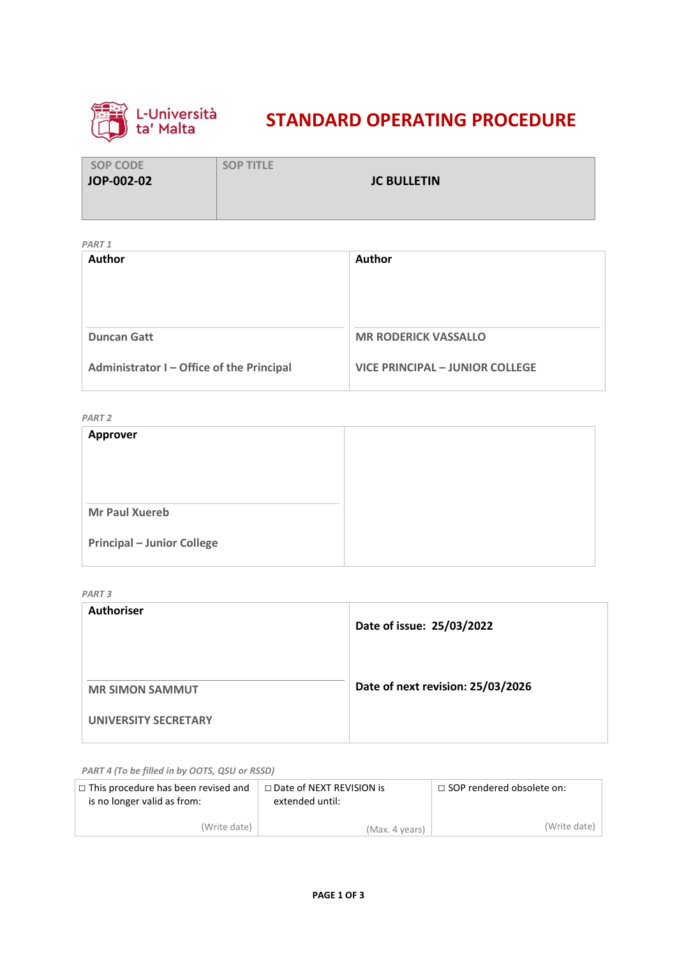

# **STANDARD OPERATING PROCEDURE**

| <b>SOP CODE</b> | <b>SOP TITLE</b>   |  |
|-----------------|--------------------|--|
| JOP-002-02      | <b>JC BULLETIN</b> |  |
|                 |                    |  |
|                 |                    |  |

*PART 1*

|        | <i>FAILL</i>                              |                                        |  |
|--------|-------------------------------------------|----------------------------------------|--|
| Author |                                           | Author                                 |  |
|        |                                           |                                        |  |
|        |                                           |                                        |  |
|        | <b>Duncan Gatt</b>                        | <b>MR RODERICK VASSALLO</b>            |  |
|        |                                           |                                        |  |
|        | Administrator I - Office of the Principal | <b>VICE PRINCIPAL - JUNIOR COLLEGE</b> |  |
|        |                                           |                                        |  |

*PART 2*

| <b>Approver</b>                   |  |
|-----------------------------------|--|
|                                   |  |
|                                   |  |
|                                   |  |
| <b>Mr Paul Xuereb</b>             |  |
| <b>Principal - Junior College</b> |  |
|                                   |  |

*PART 3*

| <b>Authoriser</b>      | Date of issue: 25/03/2022         |
|------------------------|-----------------------------------|
| <b>MR SIMON SAMMUT</b> | Date of next revision: 25/03/2026 |
| UNIVERSITY SECRETARY   |                                   |

*PART 4 (To be filled in by OOTS, QSU or RSSD)*

| $\Box$ This procedure has been revised and<br>is no longer valid as from: | □ Date of NEXT REVISION is<br>extended until: | $\Box$ SOP rendered obsolete on: |
|---------------------------------------------------------------------------|-----------------------------------------------|----------------------------------|
| (Write date)                                                              | (Max. 4 years)                                | (Write date)                     |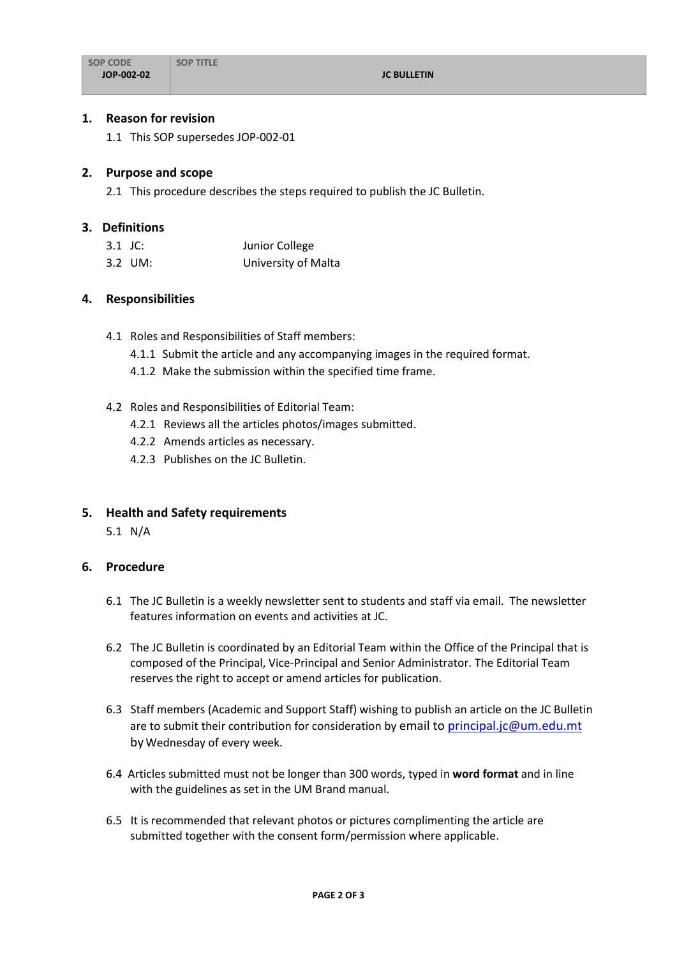#### **1. Reason for revision**

1.1 This SOP supersedes JOP-002-01

#### **2. Purpose and scope**

2.1 This procedure describes the steps required to publish the JC Bulletin.

#### **3. Definitions**

| 3.1 JC: | Junior College      |
|---------|---------------------|
| 3.2 UM: | University of Malta |

#### **4. Responsibilities**

- 4.1 Roles and Responsibilities of Staff members:
	- 4.1.1 Submit the article and any accompanying images in the required format.
	- 4.1.2 Make the submission within the specified time frame.

#### 4.2 Roles and Responsibilities of Editorial Team:

- 4.2.1 Reviews all the articles photos/images submitted.
- 4.2.2 Amends articles as necessary.
- 4.2.3 Publishes on the JC Bulletin.

## **5. Health and Safety requirements**

5.1 N/A

## **6. Procedure**

- 6.1 The JC Bulletin is a weekly newsletter sent to students and staff via email. The newsletter features information on events and activities at JC.
- 6.2 The JC Bulletin is coordinated by an Editorial Team within the Office of the Principal that is composed of the Principal, Vice-Principal and Senior Administrator. The Editorial Team reserves the right to accept or amend articles for publication.
- 6.3 Staff members (Academic and Support Staff) wishing to publish an article on the JC Bulletin are to submit their contribution for consideration by email to [principal.jc@um.edu.mt](mailto:principal.jc@um.edu.mt) by Wednesday of every week.
- 6.4 Articles submitted must not be longer than 300 words, typed in **word format** and in line with the guidelines as set in the UM Brand manual.
- 6.5 It is recommended that relevant photos or pictures complimenting the article are submitted together with the consent form/permission where applicable.